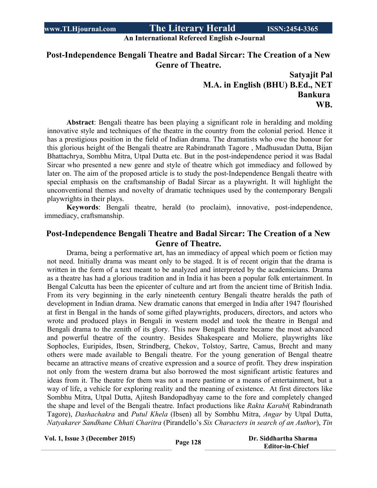**An International Refereed English e-Journal**

## **Post-Independence Bengali Theatre and Badal Sircar: The Creation of a New Genre of Theatre.**

**Satyajit Pal M.A. in English (BHU) B.Ed., NET Bankura WB.**

 **Abstract**: Bengali theatre has been playing a significant role in heralding and molding innovative style and techniques of the theatre in the country from the colonial period. Hence it has a prestigious position in the field of Indian drama. The dramatists who owe the honour for this glorious height of the Bengali theatre are Rabindranath Tagore , Madhusudan Dutta, Bijan Bhattachrya, Sombhu Mitra, Utpal Dutta etc. But in the post-independence period it was Badal Sircar who presented a new genre and style of theatre which got immediacy and followed by later on. The aim of the proposed article is to study the post-Independence Bengali theatre with special emphasis on the craftsmanship of Badal Sircar as a playwright. It will highlight the unconventional themes and novelty of dramatic techniques used by the contemporary Bengali playwrights in their plays.

**Keywords**: Bengali theatre, herald (to proclaim), innovative, post-independence, immediacy, craftsmanship.

## **Post-Independence Bengali Theatre and Badal Sircar: The Creation of a New Genre of Theatre.**

Drama, being a performative art, has an immediacy of appeal which poem or fiction may not need. Initially drama was meant only to be staged. It is of recent origin that the drama is written in the form of a text meant to be analyzed and interpreted by the academicians. Drama as a theatre has had a glorious tradition and in India it has been a popular folk entertainment. In Bengal Calcutta has been the epicenter of culture and art from the ancient time of British India. From its very beginning in the early nineteenth century Bengali theatre heralds the path of development in Indian drama. New dramatic canons that emerged in India after 1947 flourished at first in Bengal in the hands of some gifted playwrights, producers, directors, and actors who wrote and produced plays in Bengali in western model and took the theatre in Bengal and Bengali drama to the zenith of its glory. This new Bengali theatre became the most advanced and powerful theatre of the country. Besides Shakespeare and Moliere, playwrights like Sophocles, Euripides, Ibsen, Strindberg, Chekov, Tolstoy, Sartre, Camus, Brecht and many others were made available to Bengali theatre. For the young generation of Bengal theatre became an attractive means of creative expression and a source of profit. They drew inspiration not only from the western drama but also borrowed the most significant artistic features and ideas from it. The theatre for them was not a mere pastime or a means of entertainment, but a way of life, a vehicle for exploring reality and the meaning of existence. At first directors like Sombhu Mitra, Utpal Dutta, Ajitesh Bandopadhyay came to the fore and completely changed the shape and level of the Bengali theatre. Infact productions like *Rakta Karabi*( Rabindranath Tagore), *Dashachakra* and *Putul Khela* (Ibsen) all by Sombhu Mitra, *Angar* by Utpal Dutta, *Natyakarer Sandhane Chhati Charitra* (Pirandello's *Six Characters in search of an Author*), *Tin*

**Vol. 1, Issue <sup>3</sup> (December 2015) Page <sup>128</sup> Dr. Siddhartha Sharma**

 **Editor-in-Chief**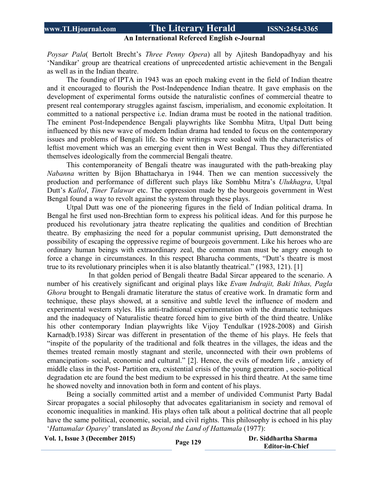#### **An International Refereed English e-Journal**

*Poysar Pala*( Bertolt Brecht's *Three Penny Opera*) all by Ajitesh Bandopadhyay and his 'Nandikar' group are theatrical creations of unprecedented artistic achievement in the Bengali as well as in the Indian theatre.

The founding of IPTA in 1943 was an epoch making event in the field of Indian theatre and it encouraged to flourish the Post-Independence Indian theatre. It gave emphasis on the development of experimental forms outside the naturalistic confines of commercial theatre to present real contemporary struggles against fascism, imperialism, and economic exploitation. It committed to a national perspective i.e. Indian drama must be rooted in the national tradition. The eminent Post-Independence Bengali playwrights like Sombhu Mitra, Utpal Dutt being influenced by this new wave of modern Indian drama had tended to focus on the contemporary issues and problems of Bengali life. So their writings were soaked with the characteristics of leftist movement which was an emerging event then in West Bengal. Thus they differentiated themselves ideologically from the commercial Bengali theatre.

This contemporaneity of Bengali theatre was inaugurated with the path-breaking play *Nabanna* written by Bijon Bhattacharya in 1944. Then we can mention successively the production and performance of different such plays like Sombhu Mitra's *Ulukhagra*, Utpal Dutt's *Kallol*, *Tiner Talawar* etc. The oppression made by the bourgeois government in West Bengal found a way to revolt against the system through these plays.

Utpal Dutt was one of the pioneering figures in the field of Indian political drama. In Bengal he first used non-Brechtian form to express his political ideas. And for this purpose he produced his revolutionary jatra theatre replicating the qualities and condition of Brechtian theatre. By emphasizing the need for a popular communist uprising, Dutt demonstrated the possibility of escaping the oppressive regime of bourgeois government. Like his heroes who are ordinary human beings with extraordinary zeal, the common man must be angry enough to force a change in circumstances. In this respect Bharucha comments, "Dutt's theatre is most true to its revolutionary principles when it is also blatantly theatrical." (1983, 121). [1]

In that golden period of Bengali theatre Badal Sircar appeared to the scenario. A number of his creatively significant and original plays like *Evam Indrajit, Baki Itihas, Pagla Ghora* brought to Bengali dramatic literature the status of creative work. In dramatic form and technique, these plays showed, at a sensitive and subtle level the influence of modern and experimental western styles. His anti-traditional experimentation with the dramatic techniques and the inadequacy of Naturalistic theatre forced him to give birth of the third theatre. Unlike his other contemporary Indian playwrights like Vijoy Tendulkar (1928-2008) and Girish Karnad(b.1938) Sircar was different in presentation of the theme of his plays. He feels that "inspite of the popularity of the traditional and folk theatres in the villages, the ideas and the themes treated remain mostly stagnant and sterile, unconnected with their own problems of emancipation- social, economic and cultural." [2]. Hence, the evils of modern life , anxiety of middle class in the Post- Partition era, existential crisis of the young generation , socio-political degradation etc are found the best medium to be expressed in his third theatre. At the same time he showed novelty and innovation both in form and content of his plays.

 Being a socially committed artist and a member of undivided Communist Party Badal Sircar propagates a social philosophy that advocates egalitarianism in society and removal of economic inequalities in mankind. His plays often talk about a political doctrine that all people have the same political, economic, social, and civil rights. This philosophy is echoed in his play '*Hattamalar Oparey*' translated as *Beyond the Land of Hattamala* (1977):

**Vol. 1, Issue <sup>3</sup> (December 2015) Page <sup>129</sup> Dr. Siddhartha Sharma**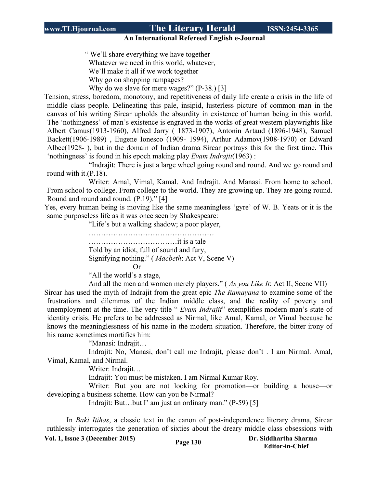**An International Refereed English e-Journal**

 " We'll share everything we have together Whatever we need in this world, whatever, We'll make it all if we work together Why go on shopping rampages? Why do we slave for mere wages?" (P-38.) [3]

Tension, stress, boredom, monotony, and repetitiveness of daily life create a crisis in the life of middle class people. Delineating this pale, insipid, lusterless picture of common man in the canvas of his writing Sircar upholds the absurdity in existence of human being in this world. The 'nothingness' of man's existence is engraved in the works of great western playwrights like Albert Camus(1913-1960), Alfred Jarry ( 1873-1907), Antonin Artaud (1896-1948), Samuel Backett(1906-1989) , Eugene Ionesco (1909- 1994), Arthur Adamov(1908-1970) or Edward Albee(1928- ), but in the domain of Indian drama Sircar portrays this for the first time. This 'nothingness' is found in his epoch making play *Evam Indrajit*(1963) :

"Indrajit: There is just a large wheel going round and round. And we go round and round with it.(P.18).

Writer: Amal, Vimal, Kamal. And Indrajit. And Manasi. From home to school. From school to college. From college to the world. They are growing up. They are going round. Round and round and round. (P.19)." [4]

Yes, every human being is moving like the same meaningless 'gyre' of W. B. Yeats or it is the same purposeless life as it was once seen by Shakespeare:

"Life's but a walking shadow; a poor player,

…………………………………………… ………………………………it is a tale Told by an idiot, full of sound and fury, Signifying nothing." ( *Macbeth*: Act V, Scene V)

Or

"All the world's a stage,

And all the men and women merely players." ( *As you Like It*: Act II, Scene VII)

Sircar has used the myth of Indrajit from the great epic *The Ramayana* to examine some of the frustrations and dilemmas of the Indian middle class, and the reality of poverty and unemployment at the time. The very title " *Evam Indrajit*" exemplifies modern man's state of identity crisis. He prefers to be addressed as Nirmal, like Amal, Kamal, or Vimal because he knows the meaninglessness of his name in the modern situation. Therefore, the bitter irony of his name sometimes mortifies him:

"Manasi: Indrajit…

Indrajit: No, Manasi, don't call me Indrajit, please don't . I am Nirmal. Amal, Vimal, Kamal, and Nirmal.

Writer: Indrajit…

Indrajit: You must be mistaken. I am Nirmal Kumar Roy.

Writer: But you are not looking for promotion—or building a house—or developing a business scheme. How can you be Nirmal?

Indrajit: But…but I' am just an ordinary man." (P-59) [5]

In *Baki Itihas*, a classic text in the canon of post-independence literary drama, Sircar ruthlessly interrogates the generation of sixties about the dreary middle class obsessions with

| <b>Vol. 1, Issue 3 (December 2015)</b> | Page 130 | Dr. Siddhartha Sharma  |
|----------------------------------------|----------|------------------------|
|                                        |          | <b>Editor-in-Chief</b> |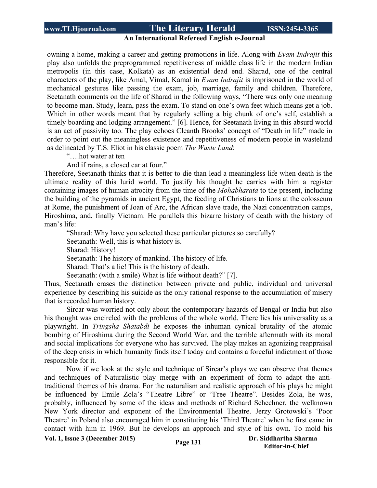#### **An International Refereed English e-Journal**

owning a home, making a career and getting promotions in life. Along with *Evam Indrajit* this play also unfolds the preprogrammed repetitiveness of middle class life in the modern Indian metropolis (in this case, Kolkata) as an existential dead end. Sharad, one of the central characters of the play, like Amal, Vimal, Kamal in *Evam Indrajit* is imprisoned in the world of mechanical gestures like passing the exam, job, marriage, family and children. Therefore, Seetanath comments on the life of Sharad in the following ways, "There was only one meaning to become man. Study, learn, pass the exam. To stand on one's own feet which means get a job. Which in other words meant that by regularly selling a big chunk of one's self, establish a timely boarding and lodging arrangement." [6]. Hence, for Seetanath living in this absurd world is an act of passivity too. The play echoes Cleanth Brooks' concept of "Death in life" made in order to point out the meaningless existence and repetitiveness of modern people in wasteland as delineated by T.S. Eliot in his classic poem *The Waste Land*:

"….hot water at ten

And if rains, a closed car at four."

Therefore, Seetanath thinks that it is better to die than lead a meaningless life when death is the ultimate reality of this lurid world. To justify his thought he carries with him a register containing images of human atrocity from the time of the *Mohabharata* to the present, including the building of the pyramids in ancient Egypt, the feeding of Christians to lions at the colosseum at Rome, the punishment of Joan of Arc, the African slave trade, the Nazi concentration camps, Hiroshima, and, finally Vietnam. He parallels this bizarre history of death with the history of man's life:

"Sharad: Why have you selected these particular pictures so carefully? Seetanath: Well, this is what history is. Sharad: History! Seetanath: The history of mankind. The history of life. Sharad: That's a lie! This is the history of death. Seetanath: (with a smile) What is life without death?" [7].

Thus, Seetanath erases the distinction between private and public, individual and universal experience by describing his suicide as the only rational response to the accumulation of misery that is recorded human history.

Sircar was worried not only about the contemporary hazards of Bengal or India but also his thought was encircled with the problems of the whole world. There lies his universality as a playwright. In *Tringsha Shatabdi* he exposes the inhuman cynical brutality of the atomic bombing of Hiroshima during the Second World War, and the terrible aftermath with its moral and social implications for everyone who has survived. The play makes an agonizing reappraisal of the deep crisis in which humanity finds itself today and contains a forceful indictment of those responsible for it.

Now if we look at the style and technique of Sircar's plays we can observe that themes and techniques of Naturalistic play merge with an experiment of form to adapt the antitraditional themes of his drama. For the naturalism and realistic approach of his plays he might be influenced by Emile Zola's "Theatre Libre" or "Free Theatre". Besides Zola, he was, probably, influenced by some of the ideas and methods of Richard Schechner, the welknown New York director and exponent of the Environmental Theatre. Jerzy Grotowski's 'Poor Theatre' in Poland also encouraged him in constituting his 'Third Theatre' when he first came in contact with him in 1969. But he develops an approach and style of his own. To mold his

**Vol. 1, Issue <sup>3</sup> (December 2015) Page <sup>131</sup> Dr. Siddhartha Sharma**